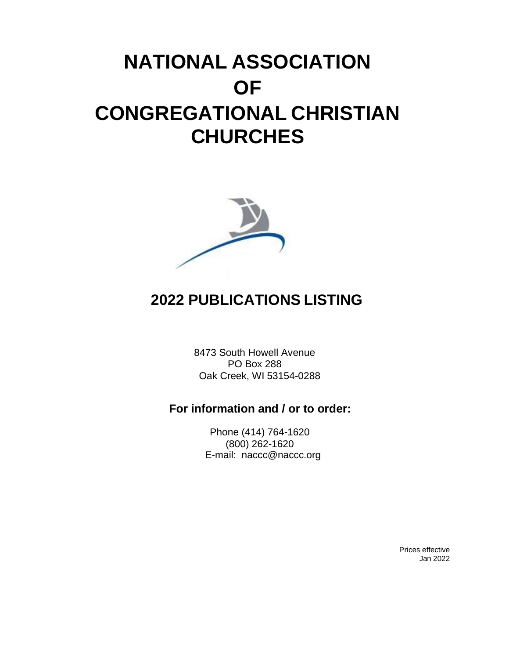# **NATIONAL ASSOCIATION OF CONGREGATIONAL CHRISTIAN CHURCHES**



## **2022 PUBLICATIONS LISTING**

8473 South Howell Avenue PO Box 288 Oak Creek, WI 53154-0288

### **For information and / or to order:**

Phone (414) 764-1620 (800) 262-1620 E[-mail: naccc@naccc.org](mailto:naccc@naccc.org)

> Prices effective Jan 2022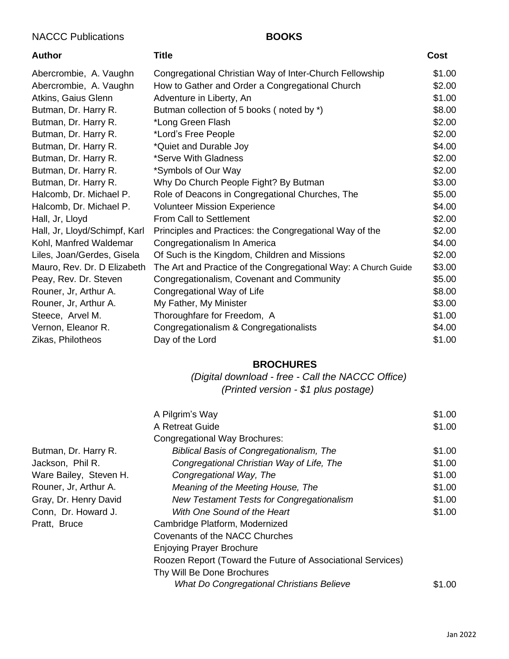#### NACCC Publications **BOOKS**

| Author                        | Title                                                          | Cost   |
|-------------------------------|----------------------------------------------------------------|--------|
| Abercrombie, A. Vaughn        | Congregational Christian Way of Inter-Church Fellowship        | \$1.00 |
| Abercrombie, A. Vaughn        | How to Gather and Order a Congregational Church                | \$2.00 |
| Atkins, Gaius Glenn           | Adventure in Liberty, An                                       | \$1.00 |
| Butman, Dr. Harry R.          | Butman collection of 5 books (noted by *)                      | \$8.00 |
| Butman, Dr. Harry R.          | *Long Green Flash                                              | \$2.00 |
| Butman, Dr. Harry R.          | *Lord's Free People                                            | \$2.00 |
| Butman, Dr. Harry R.          | *Quiet and Durable Joy                                         | \$4.00 |
| Butman, Dr. Harry R.          | *Serve With Gladness                                           | \$2.00 |
| Butman, Dr. Harry R.          | *Symbols of Our Way                                            | \$2.00 |
| Butman, Dr. Harry R.          | Why Do Church People Fight? By Butman                          | \$3.00 |
| Halcomb, Dr. Michael P.       | Role of Deacons in Congregational Churches, The                | \$5.00 |
| Halcomb, Dr. Michael P.       | <b>Volunteer Mission Experience</b>                            | \$4.00 |
| Hall, Jr, Lloyd               | From Call to Settlement                                        | \$2.00 |
| Hall, Jr, Lloyd/Schimpf, Karl | Principles and Practices: the Congregational Way of the        | \$2.00 |
| Kohl, Manfred Waldemar        | Congregationalism In America                                   | \$4.00 |
| Liles, Joan/Gerdes, Gisela    | Of Such is the Kingdom, Children and Missions                  | \$2.00 |
| Mauro, Rev. Dr. D Elizabeth   | The Art and Practice of the Congregational Way: A Church Guide | \$3.00 |
| Peay, Rev. Dr. Steven         | Congregationalism, Covenant and Community                      | \$5.00 |
| Rouner, Jr, Arthur A.         | Congregational Way of Life                                     | \$8.00 |
| Rouner, Jr, Arthur A.         | My Father, My Minister                                         | \$3.00 |
| Steece, Arvel M.              | Thoroughfare for Freedom, A                                    | \$1.00 |
| Vernon, Eleanor R.            | Congregationalism & Congregationalists                         | \$4.00 |
| Zikas, Philotheos             | Day of the Lord                                                | \$1.00 |
|                               |                                                                |        |

#### **BROCHURES**

*(Digital download - free - Call the NACCC Office) (Printed version - \$1 plus postage)*

|                        | A Pilgrim's Way                                             | \$1.00 |
|------------------------|-------------------------------------------------------------|--------|
|                        | A Retreat Guide                                             | \$1.00 |
|                        | Congregational Way Brochures:                               |        |
| Butman, Dr. Harry R.   | <b>Biblical Basis of Congregationalism, The</b>             | \$1.00 |
| Jackson, Phil R.       | Congregational Christian Way of Life, The                   | \$1.00 |
| Ware Bailey, Steven H. | Congregational Way, The                                     | \$1.00 |
| Rouner, Jr, Arthur A.  | Meaning of the Meeting House, The                           | \$1.00 |
| Gray, Dr. Henry David  | New Testament Tests for Congregationalism                   | \$1.00 |
| Conn, Dr. Howard J.    | With One Sound of the Heart                                 | \$1.00 |
| Pratt, Bruce           | Cambridge Platform, Modernized                              |        |
|                        | Covenants of the NACC Churches                              |        |
|                        | <b>Enjoying Prayer Brochure</b>                             |        |
|                        | Roozen Report (Toward the Future of Associational Services) |        |
|                        | Thy Will Be Done Brochures                                  |        |
|                        | What Do Congregational Christians Believe                   | \$1.00 |